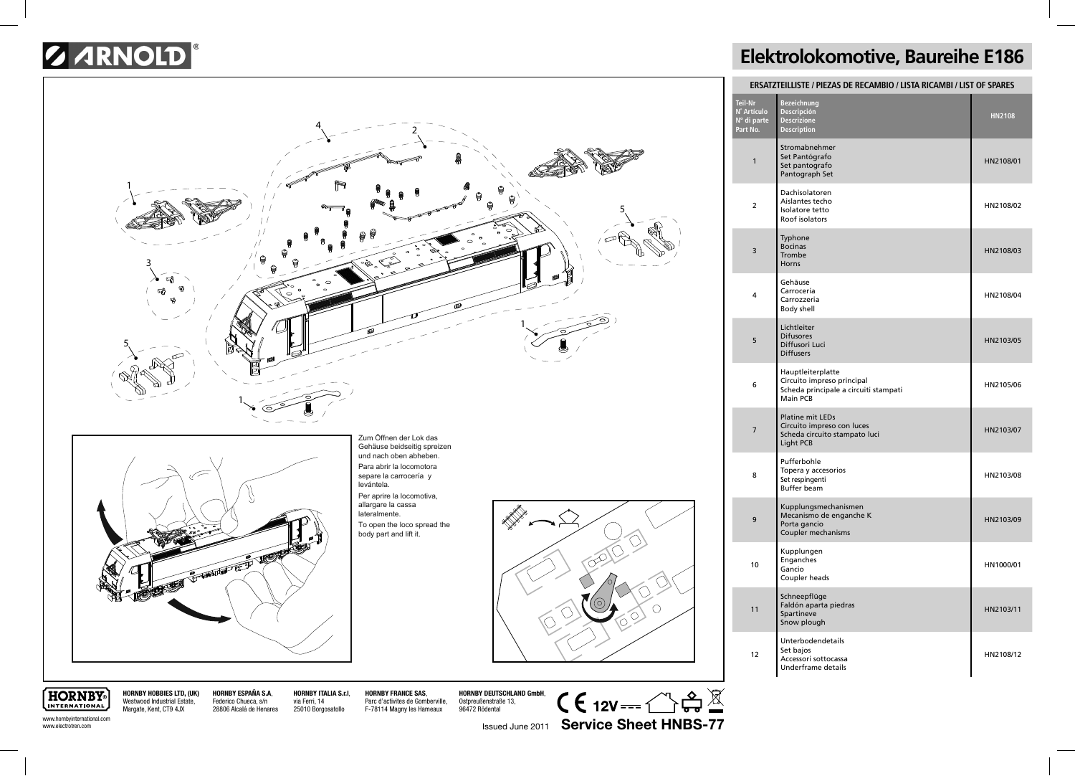## *G ARNOLD*



## **Elektrolokomotive, Baureihe E186**

| <b>ERSATZTEILLISTE / PIEZAS DE RECAMBIO / LISTA RICAMBI / LIST OF SPARES</b> |                                                                                                      |               |  |
|------------------------------------------------------------------------------|------------------------------------------------------------------------------------------------------|---------------|--|
| Teil-Nr<br>N° Artículo<br>Nº di parte<br>Part No.                            | <b>Bezeichnung</b><br>Descripción<br><b>Descrizione</b><br><b>Description</b>                        | <b>HN2108</b> |  |
| 1                                                                            | Stromabnehmer<br>Set Pantógrafo<br>Set pantografo<br>Pantograph Set                                  | HN2108/01     |  |
| $\overline{2}$                                                               | Dachisolatoren<br>Aislantes techo<br>Isolatore tetto<br>Roof isolators                               | HN2108/02     |  |
| 3                                                                            | Typhone<br><b>Bocinas</b><br>Trombe<br>Horns                                                         | HN2108/03     |  |
| 4                                                                            | Gehäuse<br>Carrocería<br>Carrozzeria<br><b>Body shell</b>                                            | HN2108/04     |  |
| 5                                                                            | Lichtleiter<br><b>Difusores</b><br>Diffusori Luci<br><b>Diffusers</b>                                | HN2103/05     |  |
| 6                                                                            | Hauptleiterplatte<br>Circuito impreso principal<br>Scheda principale a circuiti stampati<br>Main PCB | HN2105/06     |  |
| $\overline{7}$                                                               | <b>Platine mit LEDs</b><br>Circuito impreso con luces<br>Scheda circuito stampato luci<br>Light PCB  | HN2103/07     |  |
| 8                                                                            | Pufferbohle<br>Topera y accesorios<br>Set respingenti<br><b>Buffer beam</b>                          | HN2103/08     |  |
| 9                                                                            | Kupplungsmechanismen<br>Mecanismo de enganche K<br>Porta gancio<br>Coupler mechanisms                | HN2103/09     |  |
| 10                                                                           | Kupplungen<br>Enganches<br>Gancio<br>Coupler heads                                                   | HN1000/01     |  |
| 11                                                                           | Schneepflüge<br>Faldón aparta piedras<br>Spartineve<br>Snow plough                                   | HN2103/11     |  |
| 12                                                                           | Unterbodendetails<br>Set bajos<br>Accessori sottocassa<br>Underframe details                         | HN2108/12     |  |

www.hornbyinternational.com www.electrotren.com

**HORNBY** 

INTERNATIONAL Margate, Kent, CT9 4JX

**HORNBY HOBBIES LTD, (UK)** Westwood Industrial Estate, **HORNBY ESPAÑA S.A**, Federico Chueca, s/n 28806 Alcalá de Henares **HORNBY ITALIA S.r.l**, via Ferri, 14 25010 Borgosatollo

**HORNBY FRANCE SAS**, Parc d'activites de Gomberville, F-78114 Magny les Hameaux

**HORNBY DEUTSCHLAND GmbH**, Ostpreußenstraße 13, 96472 Rödental

 $C \in 12V = \bigcirc R \oplus \underline{\mathbb{X}}$ 

Issued June 2011 **Service Sheet HNBS-77**